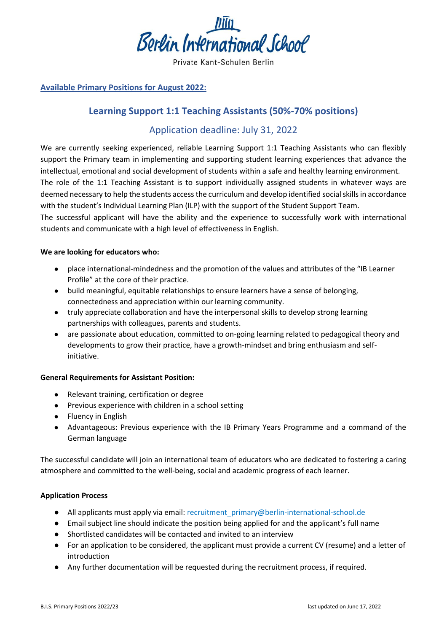

Private Kant-Schulen Berlin

### **Available Primary Positions for August 2022:**

## **Learning Support 1:1 Teaching Assistants (50%-70% positions)**

# Application deadline: July 31, 2022

We are currently seeking experienced, reliable Learning Support 1:1 Teaching Assistants who can flexibly support the Primary team in implementing and supporting student learning experiences that advance the intellectual, emotional and social development of students within a safe and healthy learning environment.

The role of the 1:1 Teaching Assistant is to support individually assigned students in whatever ways are deemed necessary to help the students access the curriculum and develop identified social skills in accordance with the student's Individual Learning Plan (ILP) with the support of the Student Support Team.

The successful applicant will have the ability and the experience to successfully work with international students and communicate with a high level of effectiveness in English.

#### **We are looking for educators who:**

- place international-mindedness and the promotion of the values and attributes of the "IB Learner Profile" at the core of their practice.
- build meaningful, equitable relationships to ensure learners have a sense of belonging, connectedness and appreciation within our learning community.
- truly appreciate collaboration and have the interpersonal skills to develop strong learning partnerships with colleagues, parents and students.
- are passionate about education, committed to on-going learning related to pedagogical theory and developments to grow their practice, have a growth-mindset and bring enthusiasm and selfinitiative.

#### **General Requirements for Assistant Position:**

- Relevant training, certification or degree
- Previous experience with children in a school setting
- Fluency in English
- Advantageous: Previous experience with the IB Primary Years Programme and a command of the German language

The successful candidate will join an international team of educators who are dedicated to fostering a caring atmosphere and committed to the well-being, social and academic progress of each learner.

#### **Application Process**

- All applicants must apply via email: recruitment\_primary@berlin-international-school.de
- Email subject line should indicate the position being applied for and the applicant's full name
- Shortlisted candidates will be contacted and invited to an interview
- For an application to be considered, the applicant must provide a current CV (resume) and a letter of introduction
- Any further documentation will be requested during the recruitment process, if required.